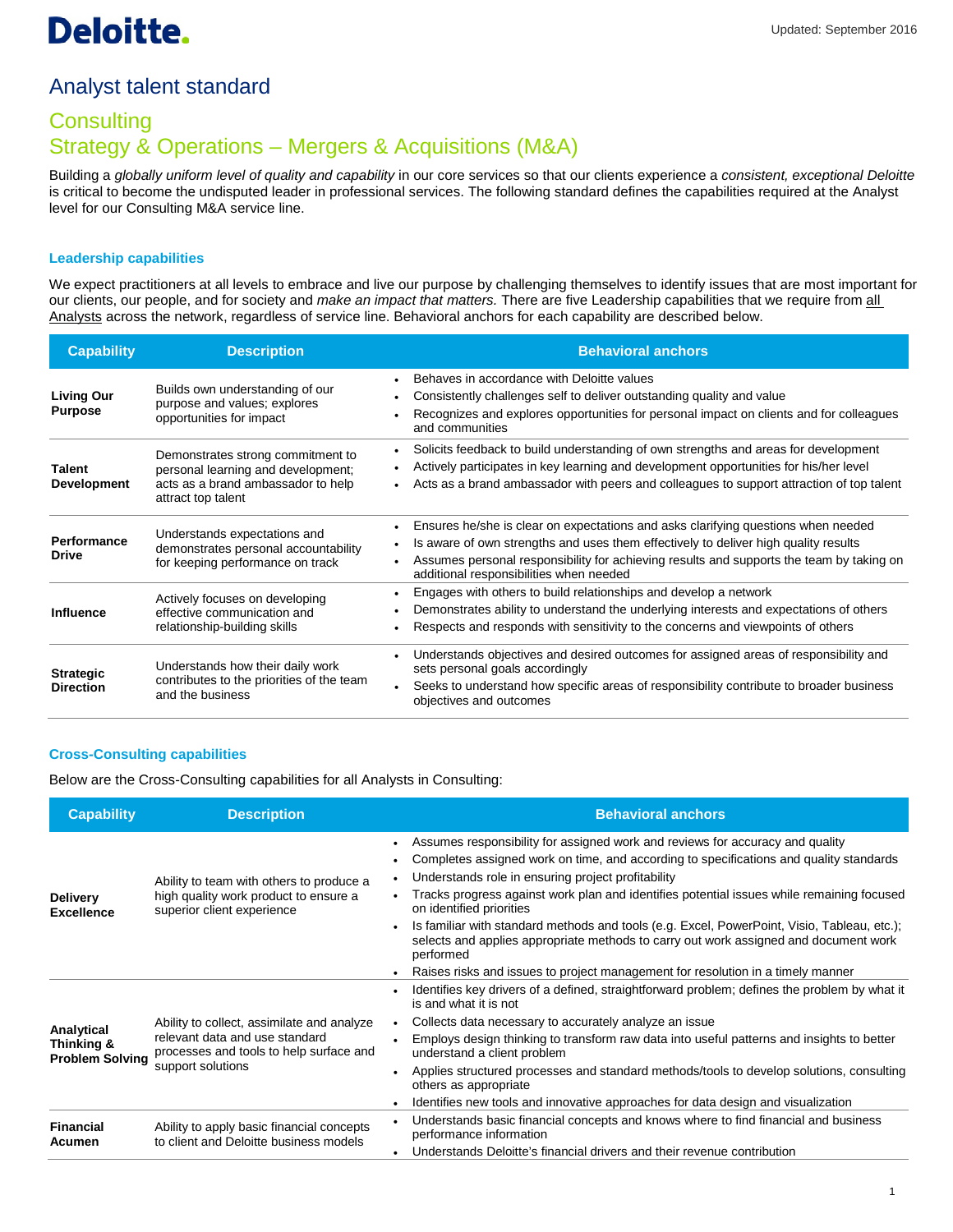## Analyst talent standard

## **Consulting** Strategy & Operations – Mergers & Acquisitions (M&A)

Building a *globally uniform level of quality and capability* in our core services so that our clients experience a *consistent, exceptional Deloitte* is critical to become the undisputed leader in professional services. The following standard defines the capabilities required at the Analyst level for our Consulting M&A service line.

## **Leadership capabilities**

We expect practitioners at all levels to embrace and live our purpose by challenging themselves to identify issues that are most important for our clients, our people, and for society and *make an impact that matters.* There are five Leadership capabilities that we require from all Analysts across the network, regardless of service line. Behavioral anchors for each capability are described below.

| <b>Capability</b>                    | <b>Description</b>                                                                                                                  | <b>Behavioral anchors</b>                                                                                                                                                                                                                                                                                       |
|--------------------------------------|-------------------------------------------------------------------------------------------------------------------------------------|-----------------------------------------------------------------------------------------------------------------------------------------------------------------------------------------------------------------------------------------------------------------------------------------------------------------|
| <b>Living Our</b><br><b>Purpose</b>  | Builds own understanding of our<br>purpose and values; explores<br>opportunities for impact                                         | Behaves in accordance with Deloitte values<br>$\bullet$<br>Consistently challenges self to deliver outstanding quality and value<br>Recognizes and explores opportunities for personal impact on clients and for colleagues<br>and communities                                                                  |
| <b>Talent</b><br><b>Development</b>  | Demonstrates strong commitment to<br>personal learning and development;<br>acts as a brand ambassador to help<br>attract top talent | Solicits feedback to build understanding of own strengths and areas for development<br>$\bullet$<br>Actively participates in key learning and development opportunities for his/her level<br>Acts as a brand ambassador with peers and colleagues to support attraction of top talent                           |
| Performance<br><b>Drive</b>          | Understands expectations and<br>demonstrates personal accountability<br>for keeping performance on track                            | Ensures he/she is clear on expectations and asks clarifying questions when needed<br>Is aware of own strengths and uses them effectively to deliver high quality results<br>Assumes personal responsibility for achieving results and supports the team by taking on<br>additional responsibilities when needed |
| <b>Influence</b>                     | Actively focuses on developing<br>effective communication and<br>relationship-building skills                                       | Engages with others to build relationships and develop a network<br>Demonstrates ability to understand the underlying interests and expectations of others<br>Respects and responds with sensitivity to the concerns and viewpoints of others                                                                   |
| <b>Strategic</b><br><b>Direction</b> | Understands how their daily work<br>contributes to the priorities of the team<br>and the business                                   | Understands objectives and desired outcomes for assigned areas of responsibility and<br>sets personal goals accordingly<br>Seeks to understand how specific areas of responsibility contribute to broader business<br>objectives and outcomes                                                                   |

## **Cross-Consulting capabilities**

Below are the Cross-Consulting capabilities for all Analysts in Consulting:

| <b>Capability</b>                                  | <b>Description</b>                                                                                                                           | <b>Behavioral anchors</b>                                                                                                                                                                                                                                                                                                                                                                                                                                                                                                                                  |
|----------------------------------------------------|----------------------------------------------------------------------------------------------------------------------------------------------|------------------------------------------------------------------------------------------------------------------------------------------------------------------------------------------------------------------------------------------------------------------------------------------------------------------------------------------------------------------------------------------------------------------------------------------------------------------------------------------------------------------------------------------------------------|
| <b>Delivery</b><br><b>Excellence</b>               | Ability to team with others to produce a<br>high quality work product to ensure a<br>superior client experience                              | Assumes responsibility for assigned work and reviews for accuracy and quality<br>Completes assigned work on time, and according to specifications and quality standards<br>Understands role in ensuring project profitability<br>Tracks progress against work plan and identifies potential issues while remaining focused<br>on identified priorities<br>Is familiar with standard methods and tools (e.g. Excel, PowerPoint, Visio, Tableau, etc.);<br>selects and applies appropriate methods to carry out work assigned and document work<br>performed |
|                                                    |                                                                                                                                              | Raises risks and issues to project management for resolution in a timely manner                                                                                                                                                                                                                                                                                                                                                                                                                                                                            |
| Analytical<br>Thinking &<br><b>Problem Solving</b> | Ability to collect, assimilate and analyze<br>relevant data and use standard<br>processes and tools to help surface and<br>support solutions | Identifies key drivers of a defined, straightforward problem; defines the problem by what it<br>is and what it is not                                                                                                                                                                                                                                                                                                                                                                                                                                      |
|                                                    |                                                                                                                                              | Collects data necessary to accurately analyze an issue                                                                                                                                                                                                                                                                                                                                                                                                                                                                                                     |
|                                                    |                                                                                                                                              | Employs design thinking to transform raw data into useful patterns and insights to better<br>understand a client problem                                                                                                                                                                                                                                                                                                                                                                                                                                   |
|                                                    |                                                                                                                                              | Applies structured processes and standard methods/tools to develop solutions, consulting<br>others as appropriate                                                                                                                                                                                                                                                                                                                                                                                                                                          |
|                                                    |                                                                                                                                              | Identifies new tools and innovative approaches for data design and visualization                                                                                                                                                                                                                                                                                                                                                                                                                                                                           |
| Financial<br>Acumen                                | Ability to apply basic financial concepts<br>to client and Deloitte business models                                                          | Understands basic financial concepts and knows where to find financial and business<br>performance information                                                                                                                                                                                                                                                                                                                                                                                                                                             |
|                                                    |                                                                                                                                              | Understands Deloitte's financial drivers and their revenue contribution                                                                                                                                                                                                                                                                                                                                                                                                                                                                                    |
|                                                    |                                                                                                                                              |                                                                                                                                                                                                                                                                                                                                                                                                                                                                                                                                                            |